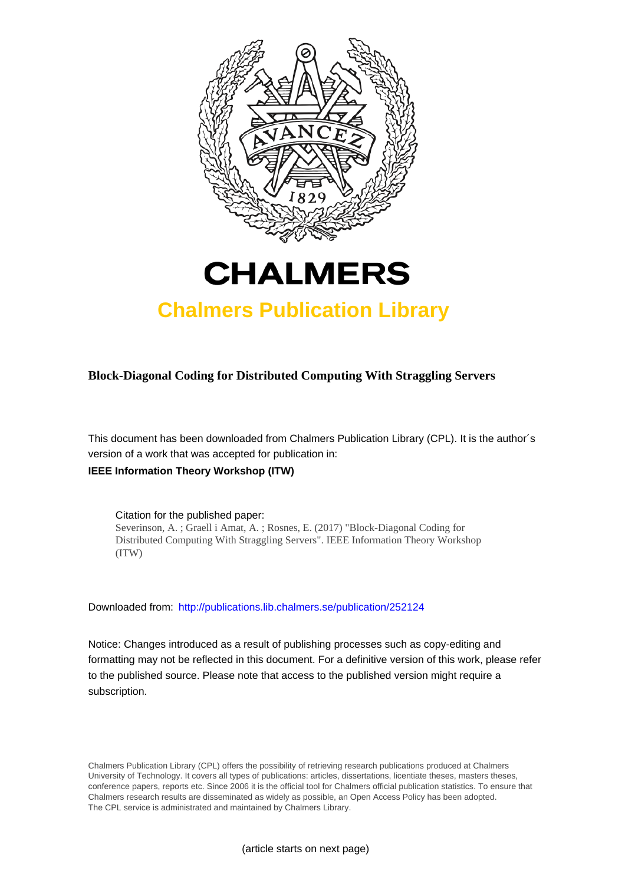



## **Chalmers Publication Library**

**Block-Diagonal Coding for Distributed Computing With Straggling Servers**

This document has been downloaded from Chalmers Publication Library (CPL). It is the author´s version of a work that was accepted for publication in:

### **IEEE Information Theory Workshop (ITW)**

Citation for the published paper: Severinson, A. ; Graell i Amat, A. ; Rosnes, E. (2017) "Block-Diagonal Coding for Distributed Computing With Straggling Servers". IEEE Information Theory Workshop (ITW)

Downloaded from: <http://publications.lib.chalmers.se/publication/252124>

Notice: Changes introduced as a result of publishing processes such as copy-editing and formatting may not be reflected in this document. For a definitive version of this work, please refer to the published source. Please note that access to the published version might require a subscription.

Chalmers Publication Library (CPL) offers the possibility of retrieving research publications produced at Chalmers University of Technology. It covers all types of publications: articles, dissertations, licentiate theses, masters theses, conference papers, reports etc. Since 2006 it is the official tool for Chalmers official publication statistics. To ensure that Chalmers research results are disseminated as widely as possible, an Open Access Policy has been adopted. The CPL service is administrated and maintained by Chalmers Library.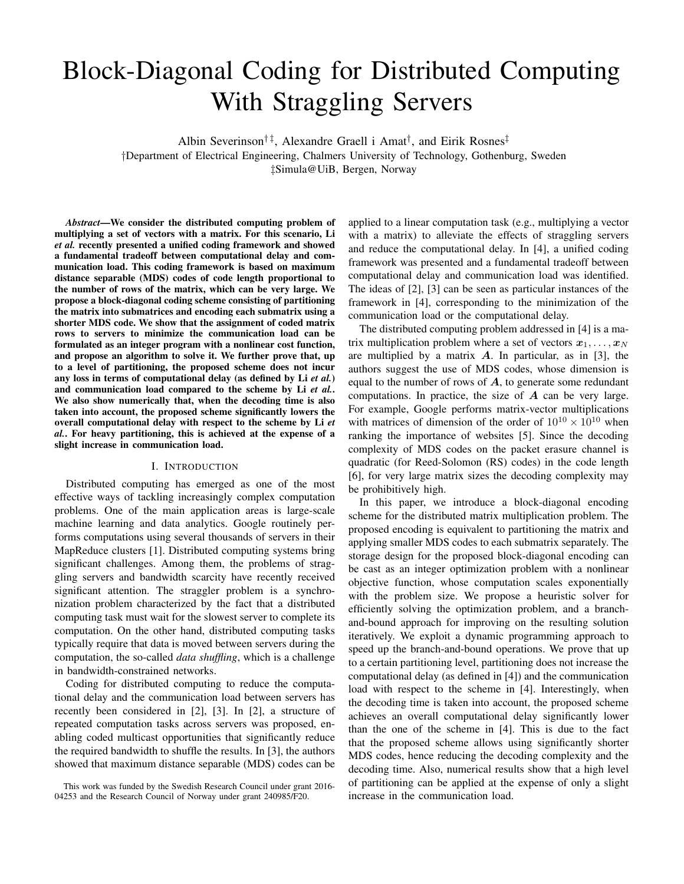# Block-Diagonal Coding for Distributed Computing With Straggling Servers

Albin Severinson<sup>†‡</sup>, Alexandre Graell i Amat<sup>†</sup>, and Eirik Rosnes<sup>‡</sup>

†Department of Electrical Engineering, Chalmers University of Technology, Gothenburg, Sweden

‡Simula@UiB, Bergen, Norway

*Abstract*—We consider the distributed computing problem of multiplying a set of vectors with a matrix. For this scenario, Li *et al.* recently presented a unified coding framework and showed a fundamental tradeoff between computational delay and communication load. This coding framework is based on maximum distance separable (MDS) codes of code length proportional to the number of rows of the matrix, which can be very large. We propose a block-diagonal coding scheme consisting of partitioning the matrix into submatrices and encoding each submatrix using a shorter MDS code. We show that the assignment of coded matrix rows to servers to minimize the communication load can be formulated as an integer program with a nonlinear cost function, and propose an algorithm to solve it. We further prove that, up to a level of partitioning, the proposed scheme does not incur any loss in terms of computational delay (as defined by Li *et al.*) and communication load compared to the scheme by Li *et al.*. We also show numerically that, when the decoding time is also taken into account, the proposed scheme significantly lowers the overall computational delay with respect to the scheme by Li *et al.*. For heavy partitioning, this is achieved at the expense of a slight increase in communication load.

#### I. INTRODUCTION

Distributed computing has emerged as one of the most effective ways of tackling increasingly complex computation problems. One of the main application areas is large-scale machine learning and data analytics. Google routinely performs computations using several thousands of servers in their MapReduce clusters [1]. Distributed computing systems bring significant challenges. Among them, the problems of straggling servers and bandwidth scarcity have recently received significant attention. The straggler problem is a synchronization problem characterized by the fact that a distributed computing task must wait for the slowest server to complete its computation. On the other hand, distributed computing tasks typically require that data is moved between servers during the computation, the so-called *data shuffling*, which is a challenge in bandwidth-constrained networks.

Coding for distributed computing to reduce the computational delay and the communication load between servers has recently been considered in [2], [3]. In [2], a structure of repeated computation tasks across servers was proposed, enabling coded multicast opportunities that significantly reduce the required bandwidth to shuffle the results. In [3], the authors showed that maximum distance separable (MDS) codes can be

applied to a linear computation task (e.g., multiplying a vector with a matrix) to alleviate the effects of straggling servers and reduce the computational delay. In [4], a unified coding framework was presented and a fundamental tradeoff between computational delay and communication load was identified. The ideas of [2], [3] can be seen as particular instances of the framework in [4], corresponding to the minimization of the communication load or the computational delay.

The distributed computing problem addressed in [4] is a matrix multiplication problem where a set of vectors  $x_1, \ldots, x_N$ are multiplied by a matrix  $\vec{A}$ . In particular, as in [3], the authors suggest the use of MDS codes, whose dimension is equal to the number of rows of  $\vec{A}$ , to generate some redundant computations. In practice, the size of  $A$  can be very large. For example, Google performs matrix-vector multiplications with matrices of dimension of the order of  $10^{10} \times 10^{10}$  when ranking the importance of websites [5]. Since the decoding complexity of MDS codes on the packet erasure channel is quadratic (for Reed-Solomon (RS) codes) in the code length [6], for very large matrix sizes the decoding complexity may be prohibitively high.

In this paper, we introduce a block-diagonal encoding scheme for the distributed matrix multiplication problem. The proposed encoding is equivalent to partitioning the matrix and applying smaller MDS codes to each submatrix separately. The storage design for the proposed block-diagonal encoding can be cast as an integer optimization problem with a nonlinear objective function, whose computation scales exponentially with the problem size. We propose a heuristic solver for efficiently solving the optimization problem, and a branchand-bound approach for improving on the resulting solution iteratively. We exploit a dynamic programming approach to speed up the branch-and-bound operations. We prove that up to a certain partitioning level, partitioning does not increase the computational delay (as defined in [4]) and the communication load with respect to the scheme in [4]. Interestingly, when the decoding time is taken into account, the proposed scheme achieves an overall computational delay significantly lower than the one of the scheme in [4]. This is due to the fact that the proposed scheme allows using significantly shorter MDS codes, hence reducing the decoding complexity and the decoding time. Also, numerical results show that a high level of partitioning can be applied at the expense of only a slight increase in the communication load.

This work was funded by the Swedish Research Council under grant 2016- 04253 and the Research Council of Norway under grant 240985/F20.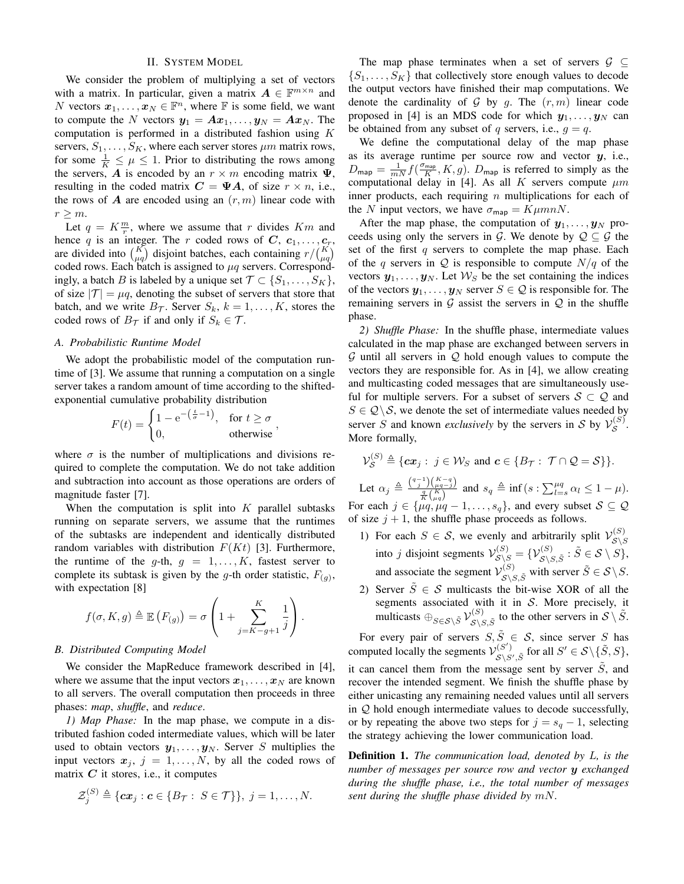#### II. SYSTEM MODEL

We consider the problem of multiplying a set of vectors with a matrix. In particular, given a matrix  $A \in \mathbb{F}^{m \times n}$  and N vectors  $x_1, \ldots, x_N \in \mathbb{F}^n$ , where  $\mathbb F$  is some field, we want to compute the N vectors  $y_1 = Ax_1, \ldots, y_N = Ax_N$ . The computation is performed in a distributed fashion using K servers,  $S_1, \ldots, S_K$ , where each server stores  $\mu$ m matrix rows, for some  $\frac{1}{K} \leq \mu \leq 1$ . Prior to distributing the rows among the servers, A is encoded by an  $r \times m$  encoding matrix  $\Psi$ , resulting in the coded matrix  $C = \Psi A$ , of size  $r \times n$ , i.e., the rows of  $\bm{A}$  are encoded using an  $(r, m)$  linear code with  $r \geq m$ .

Let  $q = K \frac{m}{r}$ , where we assume that r divides  $Km$  and hence q is an integer. The r coded rows of  $C, c_1, \ldots, c_r$ , are divided into  $\binom{K}{\mu q}$  disjoint batches, each containing  $r/\binom{K}{\mu q}$ coded rows. Each batch is assigned to  $\mu q$  servers. Correspondingly, a batch B is labeled by a unique set  $\mathcal{T} \subset \{S_1, \ldots, S_K\},\$ of size  $|\mathcal{T}| = \mu q$ , denoting the subset of servers that store that batch, and we write  $B_{\mathcal{T}}$ . Server  $S_k$ ,  $k = 1, ..., K$ , stores the coded rows of  $B_{\mathcal{T}}$  if and only if  $S_k \in \mathcal{T}$ .

#### *A. Probabilistic Runtime Model*

We adopt the probabilistic model of the computation runtime of [3]. We assume that running a computation on a single server takes a random amount of time according to the shiftedexponential cumulative probability distribution

$$
F(t) = \begin{cases} 1 - e^{-\left(\frac{t}{\sigma} - 1\right)}, & \text{for } t \ge \sigma \\ 0, & \text{otherwise} \end{cases}
$$

where  $\sigma$  is the number of multiplications and divisions required to complete the computation. We do not take addition and subtraction into account as those operations are orders of magnitude faster [7].

When the computation is split into  $K$  parallel subtasks running on separate servers, we assume that the runtimes of the subtasks are independent and identically distributed random variables with distribution  $F(Kt)$  [3]. Furthermore, the runtime of the g-th,  $g = 1, \ldots, K$ , fastest server to complete its subtask is given by the g-th order statistic,  $F_{(g)}$ , with expectation [8]

$$
f(\sigma, K, g) \triangleq \mathbb{E}\left(F_{(g)}\right) = \sigma \left(1 + \sum_{j=K-g+1}^{K} \frac{1}{j}\right).
$$

#### *B. Distributed Computing Model*

We consider the MapReduce framework described in [4], where we assume that the input vectors  $x_1, \ldots, x_N$  are known to all servers. The overall computation then proceeds in three phases: *map*, *shuffle*, and *reduce*.

*1) Map Phase:* In the map phase, we compute in a distributed fashion coded intermediate values, which will be later used to obtain vectors  $y_1, \ldots, y_N$ . Server S multiplies the input vectors  $x_j$ ,  $j = 1, \ldots, N$ , by all the coded rows of matrix  $C$  it stores, i.e., it computes

$$
\mathcal{Z}_{j}^{(S)} \triangleq \{\boldsymbol{c}\boldsymbol{x}_{j} : \boldsymbol{c} \in \{B_{\mathcal{T}} : S \in \mathcal{T}\}\}, \ j=1,\ldots,N.
$$

The map phase terminates when a set of servers  $\mathcal{G} \subseteq$  $\{S_1, \ldots, S_K\}$  that collectively store enough values to decode the output vectors have finished their map computations. We denote the cardinality of G by g. The  $(r, m)$  linear code proposed in [4] is an MDS code for which  $y_1, \ldots, y_N$  can be obtained from any subset of q servers, i.e.,  $q = q$ .

We define the computational delay of the map phase as its average runtime per source row and vector  $y$ , i.e.,  $D_{\text{map}} = \frac{1}{mN} f(\frac{\sigma_{\text{map}}}{K}, K, g)$ .  $D_{\text{map}}$  is referred to simply as the computational delay in [4]. As all K servers compute  $\mu m$ inner products, each requiring  $n$  multiplications for each of the N input vectors, we have  $\sigma_{\text{map}} = K \mu mnN$ .

After the map phase, the computation of  $y_1, \ldots, y_N$  proceeds using only the servers in G. We denote by  $\mathcal{Q} \subseteq \mathcal{G}$  the set of the first  $q$  servers to complete the map phase. Each of the q servers in  $Q$  is responsible to compute  $N/q$  of the vectors  $y_1, \ldots, y_N$ . Let  $\mathcal{W}_S$  be the set containing the indices of the vectors  $y_1, \ldots, y_N$  server  $S \in \mathcal{Q}$  is responsible for. The remaining servers in  $G$  assist the servers in  $Q$  in the shuffle phase.

*2) Shuffle Phase:* In the shuffle phase, intermediate values calculated in the map phase are exchanged between servers in  $G$  until all servers in  $Q$  hold enough values to compute the vectors they are responsible for. As in [4], we allow creating and multicasting coded messages that are simultaneously useful for multiple servers. For a subset of servers  $S \subset \mathcal{Q}$  and  $S \in \mathcal{Q} \backslash \mathcal{S}$ , we denote the set of intermediate values needed by server S and known *exclusively* by the servers in S by  $\mathcal{V}_{\mathcal{S}}^{(S)}$  $\overset{\scriptscriptstyle(\mathcal{S})}{\scriptscriptstyle{\mathcal{S}}}$  . More formally,

$$
\mathcal{V}_{\mathcal{S}}^{(S)} \triangleq \{ \boldsymbol{c} \boldsymbol{x}_j : j \in \mathcal{W}_S \text{ and } \boldsymbol{c} \in \{ B_{\mathcal{T}} : \mathcal{T} \cap \mathcal{Q} = \mathcal{S} \} \}.
$$

Let  $\alpha_j \triangleq \frac{\binom{q-1}{j}\binom{K-q}{\mu q-j}}{\frac{q}{K}\binom{K}{\mu q}}$  and  $s_q \triangleq \inf(s : \sum_{l=s}^{\mu q} \alpha_l \leq 1-\mu)$ . For each  $j \in \{\mu q, \mu q - 1, \dots, s_q\}$ , and every subset  $S \subseteq \mathcal{Q}$ of size  $j + 1$ , the shuffle phase proceeds as follows.

- 1) For each  $S \in \mathcal{S}$ , we evenly and arbitrarily split  $\mathcal{V}_{S \setminus S}^{(S)}$  $\mathcal{S}\backslash S$ into *j* disjoint segments  $\mathcal{V}_{\mathcal{S}\setminus S}^{(S)} = \{ \mathcal{V}_{\mathcal{S}\setminus S,\tilde{S}}^{(S)} : \tilde{S} \in \mathcal{S} \setminus S \},$ and associate the segment  $\mathcal{V}_{\mathcal{S}\setminus S,\tilde{S}}^{(S)}$  with server  $\tilde{S} \in \mathcal{S}\setminus S$ .
- 2) Server  $\tilde{S} \in \mathcal{S}$  multicasts the bit-wise XOR of all the segments associated with it in S. More precisely, it multicasts  $\bigoplus_{S \in \mathcal{S} \setminus \tilde{S}} \mathcal{V}_{\mathcal{S} \setminus S}^{(S)}$  $S_{\backslash S,\tilde{S}}^{(S)}$  to the other servers in  $S \setminus \tilde{S}$ .

For every pair of servers  $S, \tilde{S} \in \mathcal{S}$ , since server S has computed locally the segments  $V_{S \ S}^{(S')}$  $S\underset{\mathcal{S}\setminus S',\tilde{S}}{\overset{(S')}}$  for all  $S'\in\mathcal{S}\setminus\{\tilde{S},S\},$ it can cancel them from the message sent by server  $\tilde{S}$ , and recover the intended segment. We finish the shuffle phase by either unicasting any remaining needed values until all servers in  $Q$  hold enough intermediate values to decode successfully, or by repeating the above two steps for  $j = s_q - 1$ , selecting the strategy achieving the lower communication load.

Definition 1. *The communication load, denoted by* L*, is the number of messages per source row and vector* y *exchanged during the shuffle phase, i.e., the total number of messages sent during the shuffle phase divided by* mN*.*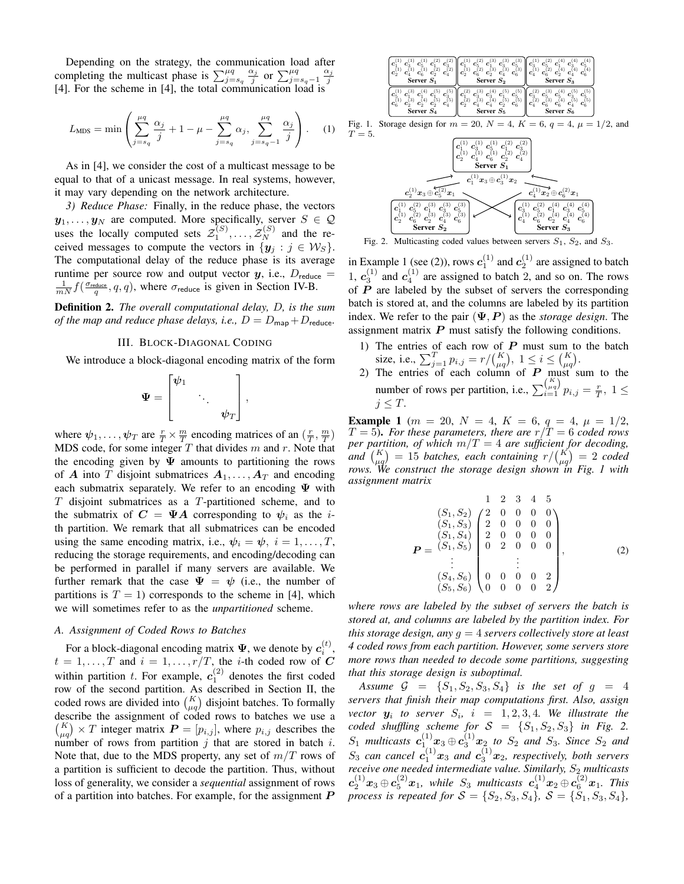Depending on the strategy, the communication load after completing the multicast phase is  $\sum_{j=s_q}^{\mu q}$  $\frac{\alpha_j}{j}$  or  $\sum_{j=s_q-1}^{\mu q} \frac{\alpha_j}{j}$ [4]. For the scheme in [4], the total communication load is

$$
L_{\text{MDS}} = \min \left( \sum_{j=s_q}^{\mu q} \frac{\alpha_j}{j} + 1 - \mu - \sum_{j=s_q}^{\mu q} \alpha_j, \sum_{j=s_q-1}^{\mu q} \frac{\alpha_j}{j} \right). \tag{1}
$$

As in [4], we consider the cost of a multicast message to be equal to that of a unicast message. In real systems, however, it may vary depending on the network architecture.

*3) Reduce Phase:* Finally, in the reduce phase, the vectors  $y_1, \ldots, y_N$  are computed. More specifically, server  $S \in \mathcal{Q}$ uses the locally computed sets  $\mathcal{Z}_1^{(S)}, \ldots, \mathcal{Z}_N^{(S)}$  and the received messages to compute the vectors in  $\{y_i : j \in W_S\}$ . The computational delay of the reduce phase is its average runtime per source row and output vector  $y$ , i.e.,  $D_{reduce}$  $\frac{1}{mN} f(\frac{\sigma_{\text{reduce}}}{q}, q, q)$ , where  $\sigma_{\text{reduce}}$  is given in Section IV-B.

Definition 2. *The overall computational delay,* D*, is the sum of the map and reduce phase delays, i.e.,*  $D = D_{\text{map}} + D_{\text{reduce}}$ .

#### III. BLOCK-DIAGONAL CODING

We introduce a block-diagonal encoding matrix of the form

$$
\Psi = \begin{bmatrix} \psi_1 & & \\ & \ddots & \\ & & \psi_T \end{bmatrix},
$$

where  $\psi_1, \ldots, \psi_T$  are  $\frac{r}{T} \times \frac{m}{T}$  encoding matrices of an  $(\frac{r}{T}, \frac{m}{T})$ MDS code, for some integer  $T$  that divides  $m$  and  $r$ . Note that the encoding given by  $\Psi$  amounts to partitioning the rows of A into T disjoint submatrices  $A_1, \ldots, A_T$  and encoding each submatrix separately. We refer to an encoding  $\Psi$  with  $T$  disjoint submatrices as a  $T$ -partitioned scheme, and to the submatrix of  $C = \Psi A$  corresponding to  $\psi_i$  as the *i*th partition. We remark that all submatrices can be encoded using the same encoding matrix, i.e.,  $\psi_i = \psi$ ,  $i = 1, \dots, T$ , reducing the storage requirements, and encoding/decoding can be performed in parallel if many servers are available. We further remark that the case  $\Psi = \psi$  (i.e., the number of partitions is  $T = 1$ ) corresponds to the scheme in [4], which we will sometimes refer to as the *unpartitioned* scheme.

#### *A. Assignment of Coded Rows to Batches*

For a block-diagonal encoding matrix  $\Psi$ , we denote by  $c_i^{(t)}$ ,  $t = 1, \ldots, T$  and  $i = 1, \ldots, r/T$ , the *i*-th coded row of C within partition t. For example,  $c_1^{(2)}$  denotes the first coded row of the second partition. As described in Section II, the coded rows are divided into  $\binom{K}{\mu q}$  disjoint batches. To formally describe the assignment of coded rows to batches we use a  $\binom{K}{\mu q} \times T$  integer matrix  $\boldsymbol{P} = [p_{i,j}]$ , where  $p_{i,j}$  describes the number of rows from partition  $j$  that are stored in batch  $i$ . Note that, due to the MDS property, any set of  $m/T$  rows of a partition is sufficient to decode the partition. Thus, without loss of generality, we consider a *sequential* assignment of rows of a partition into batches. For example, for the assignment  $$ 



Fig. 2. Multicasting coded values between servers  $S_1$ ,  $S_2$ , and  $S_3$ .

in Example 1 (see (2)), rows  $c_1^{(1)}$  and  $c_2^{(1)}$  are assigned to batch 1,  $c_3^{(1)}$  and  $c_4^{(1)}$  are assigned to batch 2, and so on. The rows of  $\overrightarrow{P}$  are labeled by the subset of servers the corresponding batch is stored at, and the columns are labeled by its partition index. We refer to the pair  $(\Psi, P)$  as the *storage design*. The assignment matrix  $P$  must satisfy the following conditions.

- 1) The entries of each row of  $P$  must sum to the batch size, i.e.,  $\sum_{j=1}^{T} p_{i,j} = r / {K \choose \mu q}, 1 \le i \le {K \choose \mu q}.$
- 2) The entries of each column of  $P$  must sum to the number of rows per partition, i.e.,  $\sum_{i=1}^{K \choose \mu q} p_{i,j} = \frac{r}{T}$ ,  $1 \leq$  $j \leq T$ .

**Example 1** ( $m = 20$ ,  $N = 4$ ,  $K = 6$ ,  $q = 4$ ,  $\mu = 1/2$ ,  $T = 5$ ). For these parameters, there are  $r/T = 6$  coded rows *per partition, of which* m/T = 4 *are sufficient for decoding,* and  $\binom{K}{\mu q} = 15$  *batches, each containing*  $r / \binom{K}{\mu q} = 2$  *coded rows. We construct the storage design shown in Fig. 1 with assignment matrix*

$$
P = \begin{pmatrix} (S_1, S_2) & 1 & 2 & 3 & 4 & 5 \\ (S_1, S_2) & 2 & 0 & 0 & 0 & 0 \\ (S_1, S_3) & 2 & 0 & 0 & 0 & 0 \\ (S_1, S_4) & 2 & 0 & 0 & 0 & 0 \\ 2 & 0 & 0 & 0 & 0 & 0 \\ \vdots & \vdots & \vdots & \vdots & \vdots & \vdots \\ (S_4, S_6) & 0 & 0 & 0 & 0 & 2 \\ (S_5, S_6) & 0 & 0 & 0 & 0 & 2 \end{pmatrix},
$$
(2)

*where rows are labeled by the subset of servers the batch is stored at, and columns are labeled by the partition index. For this storage design, any* g = 4 *servers collectively store at least 4 coded rows from each partition. However, some servers store more rows than needed to decode some partitions, suggesting that this storage design is suboptimal.*

*Assume*  $G = \{S_1, S_2, S_3, S_4\}$  *is the set of*  $g = 4$ *servers that finish their map computations first. Also, assign vector*  $y_i$  to server  $S_i$ ,  $i = 1, 2, 3, 4$ . We illustrate the *coded shuffling scheme for*  $S = \{S_1, S_2, S_3\}$  *in Fig.* 2.  $S_1$  multicasts  $c_{1...}^{(1)}x_3 \oplus c_3^{(1)}x_2$  to  $S_2$  and  $S_3$ . Since  $S_2$  and  $S_3$  can cancel  $c_1^{(1)}x_3$  and  $c_3^{(1)}x_2$ , respectively, both servers *receive one needed intermediate value. Similarly, S<sub>2</sub> multicasts*  $\bm{c}_2^{(1)}{\bm x}_3\oplus \bm{c}_5^{(2)}{\bm x}_1$ , while  $S_3$  multicasts  $\bm{c}_4^{(1)}{\bm x}_2\oplus \bm{c}_6^{(2)}{\bm x}_1$ . This *process is repeated for*  $S = \{S_2, S_3, S_4\}$ ,  $S = \{S_1, S_3, S_4\}$ ,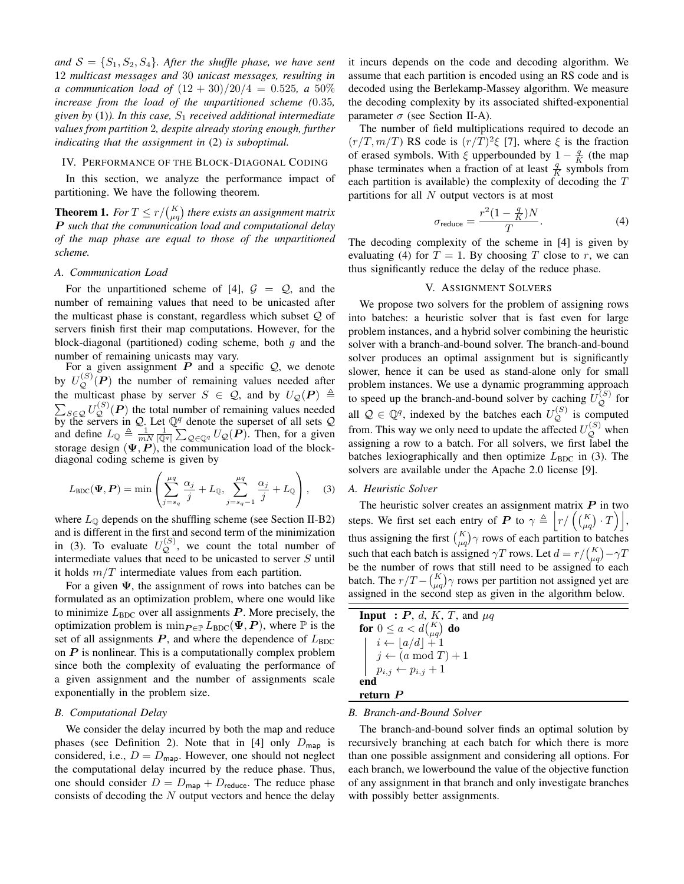and  $S = \{S_1, S_2, S_4\}$ . After the shuffle phase, we have sent 12 *multicast messages and* 30 *unicast messages, resulting in a* communication load of  $(12 + 30)/20/4 = 0.525$ , *a* 50% *increase from the load of the unpartitioned scheme (*0.35*, given by* (1)*). In this case,* S<sup>1</sup> *received additional intermediate values from partition* 2*, despite already storing enough, further indicating that the assignment in* (2) *is suboptimal.*

#### IV. PERFORMANCE OF THE BLOCK-DIAGONAL CODING

In this section, we analyze the performance impact of partitioning. We have the following theorem.

**Theorem 1.** For  $T \leq r / {K \choose \mu q}$  there exists an assignment matrix P *such that the communication load and computational delay of the map phase are equal to those of the unpartitioned scheme.*

#### *A. Communication Load*

For the unpartitioned scheme of [4],  $\mathcal{G} = \mathcal{Q}$ , and the number of remaining values that need to be unicasted after the multicast phase is constant, regardless which subset  $Q$  of servers finish first their map computations. However, for the block-diagonal (partitioned) coding scheme, both  $g$  and the number of remaining unicasts may vary.

For a given assignment  $P$  and a specific  $Q$ , we denote by  $U_Q^{(S)}(P)$  the number of remaining values needed after the multicast phase by server  $S \in \mathcal{Q}$ , and by  $U_{\mathcal{Q}}(P) \triangleq$  $\sum_{S \in \mathcal{Q}} U_{\mathcal{Q}}^{(S)}(\mathbf{P})$  the total number of remaining values needed by the servers in Q. Let  $\mathbb{Q}^q$  denote the superset of all sets Q and define  $L_{\mathbb{Q}} \triangleq \frac{1}{mN} \frac{1}{|\mathbb{Q}^q|} \sum_{\mathcal{Q} \in \mathbb{Q}^q} U_{\mathcal{Q}}(P)$ . Then, for a given storage design  $(\Psi, P)$ , the communication load of the blockdiagonal coding scheme is given by

$$
L_{\text{BDC}}(\Psi, \mathbf{P}) = \min \left( \sum_{j=s_q}^{\mu q} \frac{\alpha_j}{j} + L_{\mathbb{Q}}, \sum_{j=s_q-1}^{\mu q} \frac{\alpha_j}{j} + L_{\mathbb{Q}} \right), \quad (3)
$$

where  $L_{\odot}$  depends on the shuffling scheme (see Section II-B2) and is different in the first and second term of the minimization in (3). To evaluate  $U_Q^{(S)}$ , we count the total number of intermediate values that need to be unicasted to server S until it holds  $m/T$  intermediate values from each partition.

For a given  $\Psi$ , the assignment of rows into batches can be formulated as an optimization problem, where one would like to minimize  $L_{BDC}$  over all assignments  $P$ . More precisely, the optimization problem is  $\min_{P \in \mathbb{P}} L_{\text{BDC}}(\Psi, P)$ , where  $\mathbb P$  is the set of all assignments  $P$ , and where the dependence of  $L_{BDC}$ on  $P$  is nonlinear. This is a computationally complex problem since both the complexity of evaluating the performance of a given assignment and the number of assignments scale exponentially in the problem size.

#### *B. Computational Delay*

We consider the delay incurred by both the map and reduce phases (see Definition 2). Note that in [4] only  $D_{\text{map}}$  is considered, i.e.,  $D = D_{\text{map}}$ . However, one should not neglect the computational delay incurred by the reduce phase. Thus, one should consider  $D = D_{\text{map}} + D_{\text{reduce}}$ . The reduce phase consists of decoding the  $N$  output vectors and hence the delay

it incurs depends on the code and decoding algorithm. We assume that each partition is encoded using an RS code and is decoded using the Berlekamp-Massey algorithm. We measure the decoding complexity by its associated shifted-exponential parameter  $\sigma$  (see Section II-A).

The number of field multiplications required to decode an  $(r/T, m/T)$  RS code is  $(r/T)^2 \xi$  [7], where  $\xi$  is the fraction of erased symbols. With  $\xi$  upperbounded by  $1 - \frac{q}{K}$  (the map phase terminates when a fraction of at least  $\frac{q}{K}$  symbols from each partition is available) the complexity of decoding the T partitions for all  $N$  output vectors is at most

$$
\sigma_{\text{reduce}} = \frac{r^2 (1 - \frac{q}{K}) N}{T}.
$$
\n(4)

The decoding complexity of the scheme in [4] is given by evaluating (4) for  $T = 1$ . By choosing T close to r, we can thus significantly reduce the delay of the reduce phase.

#### V. ASSIGNMENT SOLVERS

We propose two solvers for the problem of assigning rows into batches: a heuristic solver that is fast even for large problem instances, and a hybrid solver combining the heuristic solver with a branch-and-bound solver. The branch-and-bound solver produces an optimal assignment but is significantly slower, hence it can be used as stand-alone only for small problem instances. We use a dynamic programming approach to speed up the branch-and-bound solver by caching  $\tilde{U}_Q^{(S)}$  for all  $\mathcal{Q} \in \mathbb{Q}^q$ , indexed by the batches each  $U_{\mathcal{Q}}^{(S)}$  is computed from. This way we only need to update the affected  $U_{\mathcal{Q}}^{(S)}$  when assigning a row to a batch. For all solvers, we first label the batches lexiographically and then optimize  $L_{BDC}$  in (3). The solvers are available under the Apache 2.0 license [9].

#### *A. Heuristic Solver*

The heuristic solver creates an assignment matrix  $P$  in two steps. We first set each entry of P to  $\gamma \triangleq \left| r / \left( \binom{K}{\mu q} \cdot T \right) \right|$ , thus assigning the first  $\binom{K}{\mu q}$  rows of each partition to batches such that each batch is assigned  $\gamma T$  rows. Let  $d = r / {K \choose \mu q} - \gamma T$ be the number of rows that still need to be assigned to each batch. The  $r/T - {K \choose \mu q} \gamma$  rows per partition not assigned yet are assigned in the second step as given in the algorithm below.

| <b>Input</b> : P, d, K, T, and $\mu q$                               |
|----------------------------------------------------------------------|
| for $0 \le a < d {K \choose \mu a}$ do                               |
| $\begin{bmatrix} i \leftarrow \lfloor a/d \rfloor + 1 \end{bmatrix}$ |
| $\left  j \leftarrow (a \mod T) + 1 \right $                         |
| $  p_{i,j} \leftarrow p_{i,j} + 1$                                   |
|                                                                      |
| return P                                                             |

#### *B. Branch-and-Bound Solver*

The branch-and-bound solver finds an optimal solution by recursively branching at each batch for which there is more than one possible assignment and considering all options. For each branch, we lowerbound the value of the objective function of any assignment in that branch and only investigate branches with possibly better assignments.